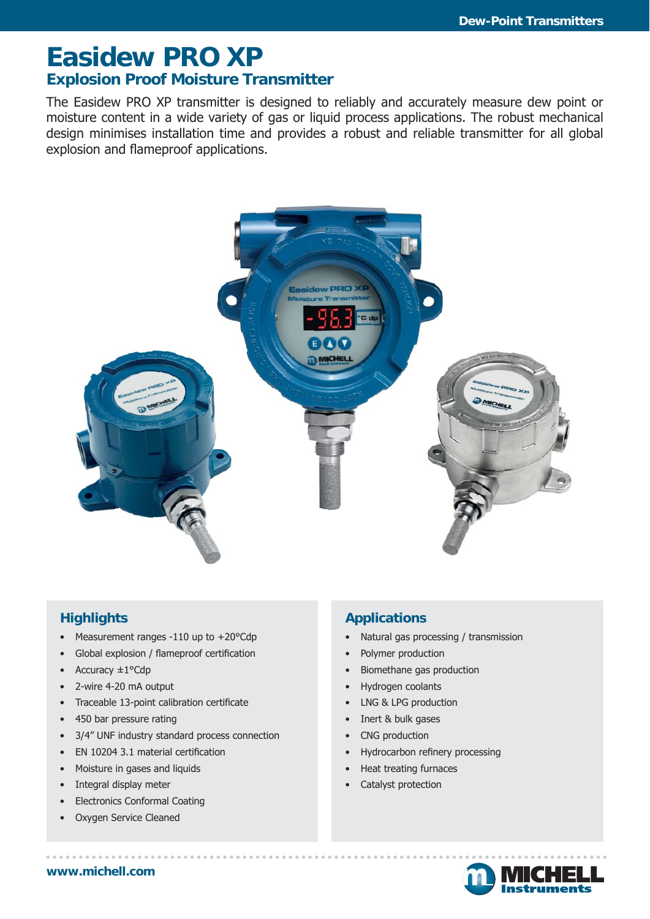# **Easidew PRO XP Explosion Proof Moisture Transmitter**

The Easidew PRO XP transmitter is designed to reliably and accurately measure dew point or moisture content in a wide variety of gas or liquid process applications. The robust mechanical design minimises installation time and provides a robust and reliable transmitter for all global explosion and flameproof applications.



## **Highlights**

- Measurement ranges -110 up to +20°Cdp
- Global explosion / flameproof certification
- Accuracy ±1°Cdp
- 2-wire 4-20 mA output
- Traceable 13-point calibration certificate
- 450 bar pressure rating
- 3/4" UNF industry standard process connection
- EN 10204 3.1 material certification
- Moisture in gases and liquids
- Integral display meter
- Electronics Conformal Coating
- Oxygen Service Cleaned

## **Applications**

- Natural gas processing / transmission
- Polymer production
- Biomethane gas production
- Hydrogen coolants
- LNG & LPG production
- Inert & bulk gases
- CNG production
- Hydrocarbon refinery processing
- Heat treating furnaces
- Catalyst protection



**www.michell.com**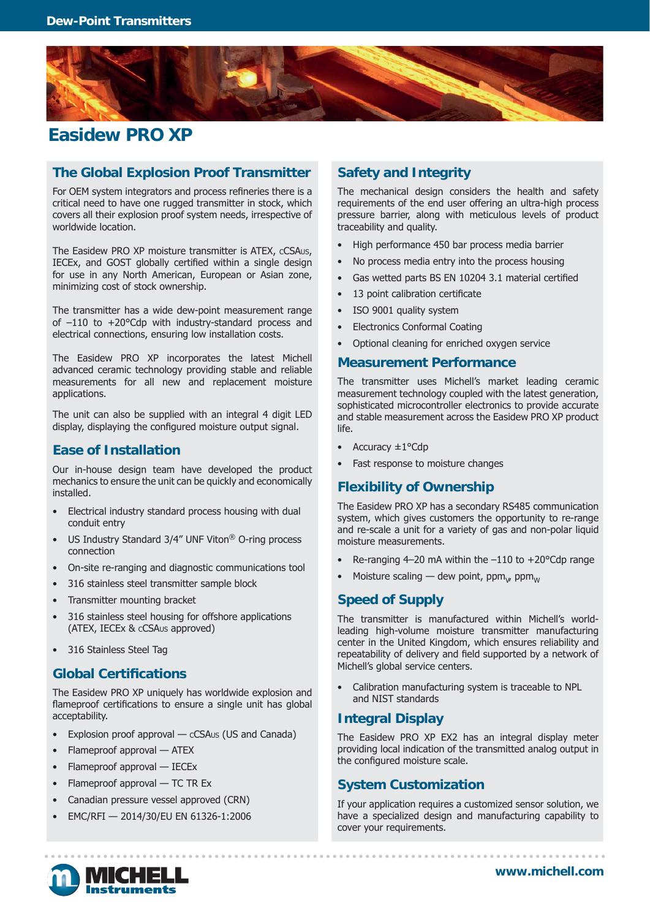

# **Easidew PRO XP**

#### **The Global Explosion Proof Transmitter**

For OEM system integrators and process refineries there is a critical need to have one rugged transmitter in stock, which covers all their explosion proof system needs, irrespective of worldwide location.

The Easidew PRO XP moisture transmitter is ATEX, cCSAus, IECEx, and GOST globally certified within a single design for use in any North American, European or Asian zone, minimizing cost of stock ownership.

The transmitter has a wide dew-point measurement range of –110 to +20°Cdp with industry-standard process and electrical connections, ensuring low installation costs.

The Easidew PRO XP incorporates the latest Michell advanced ceramic technology providing stable and reliable measurements for all new and replacement moisture applications.

The unit can also be supplied with an integral 4 digit LED display, displaying the configured moisture output signal.

#### **Ease of Installation**

Our in-house design team have developed the product mechanics to ensure the unit can be quickly and economically installed.

- Electrical industry standard process housing with dual conduit entry
- US Industry Standard 3/4" UNF Viton® O-ring process connection
- On-site re-ranging and diagnostic communications tool
- 316 stainless steel transmitter sample block
- Transmitter mounting bracket
- 316 stainless steel housing for offshore applications (ATEX, IECEx & CCSAUS approved)
- 316 Stainless Steel Tag

#### **Global Certifications**

The Easidew PRO XP uniquely has worldwide explosion and flameproof certifications to ensure a single unit has global acceptability.

- Explosion proof approval  $-$  cCSAus (US and Canada)
- Flameproof approval ATEX
- Flameproof approval IECEx
- Flameproof approval TC TR Ex
- Canadian pressure vessel approved (CRN)
- EMC/RFI 2014/30/EU EN 61326-1:2006

#### **Safety and Integrity**

The mechanical design considers the health and safety requirements of the end user offering an ultra-high process pressure barrier, along with meticulous levels of product traceability and quality.

- High performance 450 bar process media barrier
- No process media entry into the process housing
- Gas wetted parts BS EN 10204 3.1 material certified
- 13 point calibration certificate
- ISO 9001 quality system
- Electronics Conformal Coating
- Optional cleaning for enriched oxygen service

#### **Measurement Performance**

The transmitter uses Michell's market leading ceramic measurement technology coupled with the latest generation, sophisticated microcontroller electronics to provide accurate and stable measurement across the Easidew PRO XP product life.

- Accuracy ±1°Cdp
- Fast response to moisture changes

#### **Flexibility of Ownership**

The Easidew PRO XP has a secondary RS485 communication system, which gives customers the opportunity to re-range and re-scale a unit for a variety of gas and non-polar liquid moisture measurements.

- Re-ranging  $4-20$  mA within the  $-110$  to  $+20^{\circ}$ Cdp range
- Moisture scaling dew point,  $\mathsf{ppm}_\mathsf{w}$  ppm $_\mathsf{w}$

#### **Speed of Supply**

The transmitter is manufactured within Michell's worldleading high-volume moisture transmitter manufacturing center in the United Kingdom, which ensures reliability and repeatability of delivery and field supported by a network of Michell's global service centers.

• Calibration manufacturing system is traceable to NPL and NIST standards

#### **Integral Display**

The Easidew PRO XP EX2 has an integral display meter providing local indication of the transmitted analog output in the configured moisture scale.

#### **System Customization**

If your application requires a customized sensor solution, we have a specialized design and manufacturing capability to cover your requirements.

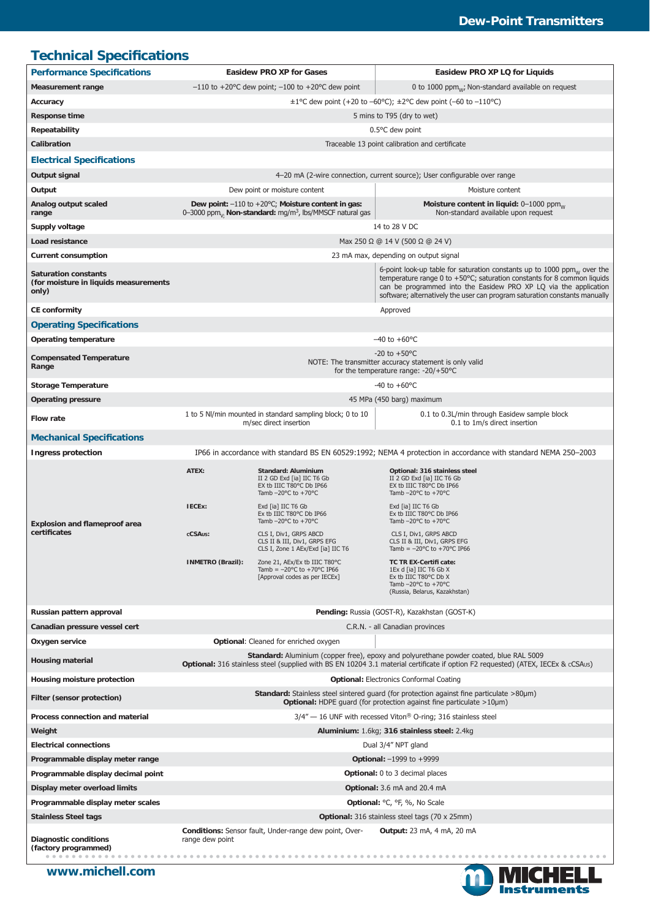# **Technical Specifications**

| <b>Performance Specifications</b>                                                                                                                                    | <b>Easidew PRO XP for Gases</b>                                                                                                                                                                                                                                                                                    |                                                                                                                                                                                                                                                                                                                      | Easidew PRO XP LQ for Liquids                                                                                                                                                                                                                                                                                                                |
|----------------------------------------------------------------------------------------------------------------------------------------------------------------------|--------------------------------------------------------------------------------------------------------------------------------------------------------------------------------------------------------------------------------------------------------------------------------------------------------------------|----------------------------------------------------------------------------------------------------------------------------------------------------------------------------------------------------------------------------------------------------------------------------------------------------------------------|----------------------------------------------------------------------------------------------------------------------------------------------------------------------------------------------------------------------------------------------------------------------------------------------------------------------------------------------|
| <b>Measurement range</b>                                                                                                                                             | $-110$ to +20 °C dew point; $-100$ to +20 °C dew point                                                                                                                                                                                                                                                             |                                                                                                                                                                                                                                                                                                                      | 0 to 1000 $ppm_{w}$ ; Non-standard available on request                                                                                                                                                                                                                                                                                      |
| Accuracy                                                                                                                                                             | $\pm 1^{\circ}$ C dew point (+20 to -60°C); $\pm 2^{\circ}$ C dew point (-60 to -110°C)                                                                                                                                                                                                                            |                                                                                                                                                                                                                                                                                                                      |                                                                                                                                                                                                                                                                                                                                              |
| <b>Response time</b>                                                                                                                                                 | 5 mins to T95 (dry to wet)                                                                                                                                                                                                                                                                                         |                                                                                                                                                                                                                                                                                                                      |                                                                                                                                                                                                                                                                                                                                              |
| Repeatability                                                                                                                                                        | $0.5^{\circ}$ C dew point                                                                                                                                                                                                                                                                                          |                                                                                                                                                                                                                                                                                                                      |                                                                                                                                                                                                                                                                                                                                              |
| Calibration                                                                                                                                                          | Traceable 13 point calibration and certificate                                                                                                                                                                                                                                                                     |                                                                                                                                                                                                                                                                                                                      |                                                                                                                                                                                                                                                                                                                                              |
| <b>Electrical Specifications</b>                                                                                                                                     |                                                                                                                                                                                                                                                                                                                    |                                                                                                                                                                                                                                                                                                                      |                                                                                                                                                                                                                                                                                                                                              |
| Output signal                                                                                                                                                        | 4-20 mA (2-wire connection, current source); User configurable over range                                                                                                                                                                                                                                          |                                                                                                                                                                                                                                                                                                                      |                                                                                                                                                                                                                                                                                                                                              |
| Output                                                                                                                                                               | Dew point or moisture content                                                                                                                                                                                                                                                                                      |                                                                                                                                                                                                                                                                                                                      | Moisture content                                                                                                                                                                                                                                                                                                                             |
| Analog output scaled<br>range                                                                                                                                        |                                                                                                                                                                                                                                                                                                                    | Dew point: $-110$ to $+20^{\circ}$ C; Moisture content in gas:<br>0-3000 ppm <sub>1</sub> , Non-standard: mg/m <sup>3</sup> , lbs/MMSCF natural gas                                                                                                                                                                  | Moisture content in liquid: 0-1000 ppm <sub>w</sub><br>Non-standard available upon request                                                                                                                                                                                                                                                   |
| Supply voltage                                                                                                                                                       | 14 to 28 V DC                                                                                                                                                                                                                                                                                                      |                                                                                                                                                                                                                                                                                                                      |                                                                                                                                                                                                                                                                                                                                              |
| Load resistance                                                                                                                                                      | Max 250 Ω @ 14 V (500 Ω @ 24 V)                                                                                                                                                                                                                                                                                    |                                                                                                                                                                                                                                                                                                                      |                                                                                                                                                                                                                                                                                                                                              |
| <b>Current consumption</b>                                                                                                                                           | 23 mA max, depending on output signal                                                                                                                                                                                                                                                                              |                                                                                                                                                                                                                                                                                                                      |                                                                                                                                                                                                                                                                                                                                              |
| <b>Saturation constants</b><br>(for moisture in liquids measurements<br>only)                                                                                        | 6-point look-up table for saturation constants up to 1000 $ppm_w$ over the<br>temperature range 0 to +50 $^{\circ}$ C; saturation constants for 8 common liquids<br>can be programmed into the Easidew PRO XP LQ via the application<br>software; alternatively the user can program saturation constants manually |                                                                                                                                                                                                                                                                                                                      |                                                                                                                                                                                                                                                                                                                                              |
| <b>CE conformity</b>                                                                                                                                                 | Approved                                                                                                                                                                                                                                                                                                           |                                                                                                                                                                                                                                                                                                                      |                                                                                                                                                                                                                                                                                                                                              |
| <b>Operating Specifications</b>                                                                                                                                      |                                                                                                                                                                                                                                                                                                                    |                                                                                                                                                                                                                                                                                                                      |                                                                                                                                                                                                                                                                                                                                              |
| <b>Operating temperature</b>                                                                                                                                         | $-40$ to $+60$ °C                                                                                                                                                                                                                                                                                                  |                                                                                                                                                                                                                                                                                                                      |                                                                                                                                                                                                                                                                                                                                              |
| <b>Compensated Temperature</b><br>Range                                                                                                                              | $-20$ to $+50^{\circ}$ C<br>NOTE: The transmitter accuracy statement is only valid<br>for the temperature range: $-20/+50°C$                                                                                                                                                                                       |                                                                                                                                                                                                                                                                                                                      |                                                                                                                                                                                                                                                                                                                                              |
| <b>Storage Temperature</b>                                                                                                                                           | $-40$ to $+60$ °C                                                                                                                                                                                                                                                                                                  |                                                                                                                                                                                                                                                                                                                      |                                                                                                                                                                                                                                                                                                                                              |
| <b>Operating pressure</b>                                                                                                                                            |                                                                                                                                                                                                                                                                                                                    |                                                                                                                                                                                                                                                                                                                      | 45 MPa (450 barg) maximum                                                                                                                                                                                                                                                                                                                    |
| <b>Flow rate</b>                                                                                                                                                     |                                                                                                                                                                                                                                                                                                                    | 1 to 5 NI/min mounted in standard sampling block; 0 to 10<br>m/sec direct insertion                                                                                                                                                                                                                                  | 0.1 to 0.3L/min through Easidew sample block<br>0.1 to 1m/s direct insertion                                                                                                                                                                                                                                                                 |
| <b>Mechanical Specifications</b>                                                                                                                                     |                                                                                                                                                                                                                                                                                                                    |                                                                                                                                                                                                                                                                                                                      |                                                                                                                                                                                                                                                                                                                                              |
| <b>Ingress protection</b>                                                                                                                                            | IP66 in accordance with standard BS EN 60529:1992; NEMA 4 protection in accordance with standard NEMA 250–2003                                                                                                                                                                                                     |                                                                                                                                                                                                                                                                                                                      |                                                                                                                                                                                                                                                                                                                                              |
| <b>Explosion and flameproof area</b><br>certificates                                                                                                                 | ATEX:<br>IECEx:<br>cCSAus:                                                                                                                                                                                                                                                                                         | Standard: Aluminium<br>II 2 GD Exd [ia] IIC T6 Gb<br>EX tb IIIC T80°C Db IP66<br>Tamb $-20^{\circ}$ C to $+70^{\circ}$ C<br>Exd [ia] IIC T6 Gb<br>Ex tb IIIC T80°C Db IP66<br>Tamb $-20^{\circ}$ C to $+70^{\circ}$ C<br>CLS I, Div1, GRPS ABCD<br>CLS II & III, Div1, GRPS EFG<br>CLS I, Zone 1 AEx/Exd [ia] IIC T6 | Optional: 316 stainless steel<br>II 2 GD Exd [ia] IIC T6 Gb<br>EX tb IIIC T80°C Db IP66<br>Tamb $-20^{\circ}$ C to $+70^{\circ}$ C<br>Exd [ia] IIC T6 Gb<br>Ex tb IIIC T80°C Db IP66<br>Tamb $-20^{\circ}$ C to $+70^{\circ}$ C<br>CLS I, Div1, GRPS ABCD<br>CLS II & III, Div1, GRPS EFG<br>Tamb = $-20^{\circ}$ C to +70 $^{\circ}$ C IP66 |
|                                                                                                                                                                      | <b>INMETRO (Brazil):</b>                                                                                                                                                                                                                                                                                           | Zone 21, AEx/Ex tb IIIC T80°C<br>Tamb = $-20^{\circ}$ C to $+70^{\circ}$ C IP66<br>[Approval codes as per IECEx]                                                                                                                                                                                                     | TC TR EX-Certifi cate:<br>1Ex d [ia] IIC T6 Gb X<br>Ex tb IIIC T80°C Db X<br>Tamb $-20^{\circ}$ C to $+70^{\circ}$ C<br>(Russia, Belarus, Kazakhstan)                                                                                                                                                                                        |
| Russian pattern approval                                                                                                                                             | Pending: Russia (GOST-R), Kazakhstan (GOST-K)                                                                                                                                                                                                                                                                      |                                                                                                                                                                                                                                                                                                                      |                                                                                                                                                                                                                                                                                                                                              |
| Canadian pressure vessel cert                                                                                                                                        | C.R.N. - all Canadian provinces                                                                                                                                                                                                                                                                                    |                                                                                                                                                                                                                                                                                                                      |                                                                                                                                                                                                                                                                                                                                              |
| Oxygen service                                                                                                                                                       | Optional: Cleaned for enriched oxygen                                                                                                                                                                                                                                                                              |                                                                                                                                                                                                                                                                                                                      |                                                                                                                                                                                                                                                                                                                                              |
| <b>Housing material</b>                                                                                                                                              | Standard: Aluminium (copper free), epoxy and polyurethane powder coated, blue RAL 5009<br>Optional: 316 stainless steel (supplied with BS EN 10204 3.1 material certificate if option F2 requested) (ATEX, IECEx & cCSAus)                                                                                         |                                                                                                                                                                                                                                                                                                                      |                                                                                                                                                                                                                                                                                                                                              |
| Housing moisture protection                                                                                                                                          | <b>Optional: Electronics Conformal Coating</b>                                                                                                                                                                                                                                                                     |                                                                                                                                                                                                                                                                                                                      |                                                                                                                                                                                                                                                                                                                                              |
| Filter (sensor protection)                                                                                                                                           | <b>Standard:</b> Stainless steel sintered guard (for protection against fine particulate $>80\mu m$ )<br>Optional: HDPE guard (for protection against fine particulate >10µm)                                                                                                                                      |                                                                                                                                                                                                                                                                                                                      |                                                                                                                                                                                                                                                                                                                                              |
| Process connection and material                                                                                                                                      | $3/4'' - 16$ UNF with recessed Viton <sup>®</sup> O-ring; 316 stainless steel                                                                                                                                                                                                                                      |                                                                                                                                                                                                                                                                                                                      |                                                                                                                                                                                                                                                                                                                                              |
| Weight                                                                                                                                                               | Aluminium: 1.6kg; 316 stainless steel: 2.4kg                                                                                                                                                                                                                                                                       |                                                                                                                                                                                                                                                                                                                      |                                                                                                                                                                                                                                                                                                                                              |
| <b>Electrical connections</b>                                                                                                                                        | Dual 3/4" NPT gland                                                                                                                                                                                                                                                                                                |                                                                                                                                                                                                                                                                                                                      |                                                                                                                                                                                                                                                                                                                                              |
| Programmable display meter range                                                                                                                                     | Optional: $-1999$ to $+9999$                                                                                                                                                                                                                                                                                       |                                                                                                                                                                                                                                                                                                                      |                                                                                                                                                                                                                                                                                                                                              |
| Programmable display decimal point                                                                                                                                   | Optional: 0 to 3 decimal places                                                                                                                                                                                                                                                                                    |                                                                                                                                                                                                                                                                                                                      |                                                                                                                                                                                                                                                                                                                                              |
| Display meter overload limits                                                                                                                                        | Optional: 3.6 mA and 20.4 mA                                                                                                                                                                                                                                                                                       |                                                                                                                                                                                                                                                                                                                      |                                                                                                                                                                                                                                                                                                                                              |
| Programmable display meter scales                                                                                                                                    | Optional: °C, °F, %, No Scale                                                                                                                                                                                                                                                                                      |                                                                                                                                                                                                                                                                                                                      |                                                                                                                                                                                                                                                                                                                                              |
| <b>Stainless Steel tags</b>                                                                                                                                          | <b>Optional:</b> 316 stainless steel tags (70 x 25mm)                                                                                                                                                                                                                                                              |                                                                                                                                                                                                                                                                                                                      |                                                                                                                                                                                                                                                                                                                                              |
| Conditions: Sensor fault, Under-range dew point, Over-<br><b>Output:</b> 23 mA, 4 mA, 20 mA<br>Diagnostic conditions<br>range dew point<br>(factory programmed)<br>. |                                                                                                                                                                                                                                                                                                                    |                                                                                                                                                                                                                                                                                                                      |                                                                                                                                                                                                                                                                                                                                              |

**www.michell.com**